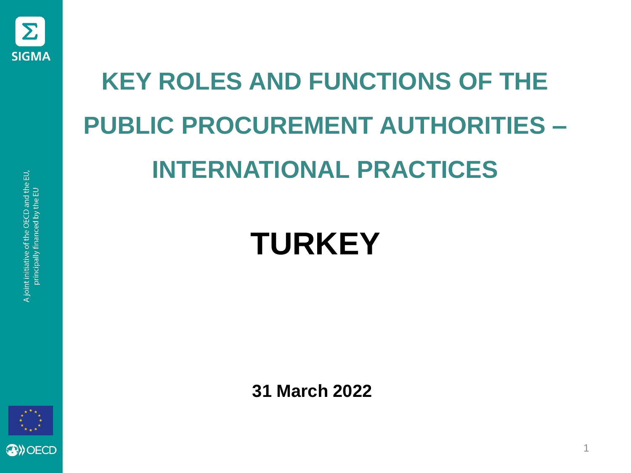

# **KEY ROLES AND FUNCTIONS OF THE PUBLIC PROCUREMENT AUTHORITIES – INTERNATIONAL PRACTICES**

#### **TURKEY**

**31 March 2022**

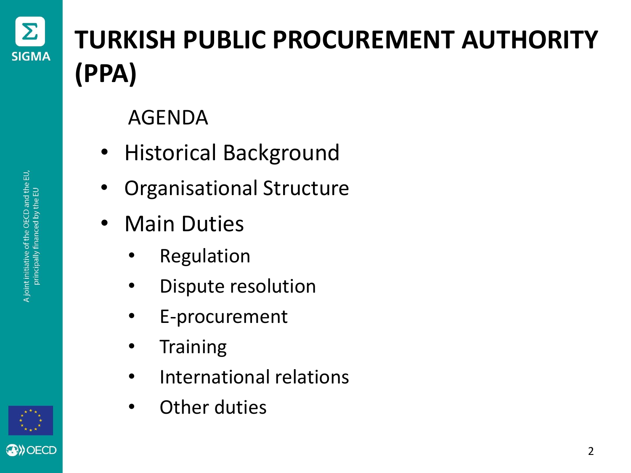

#### **TURKISH PUBLIC PROCUREMENT AUTHORITY (PPA)**

AGENDA

- Historical Background
- Organisational Structure
- Main Duties
	- **Regulation**
	- Dispute resolution
	- E-procurement
	- Training
	- International relations
	- Other duties

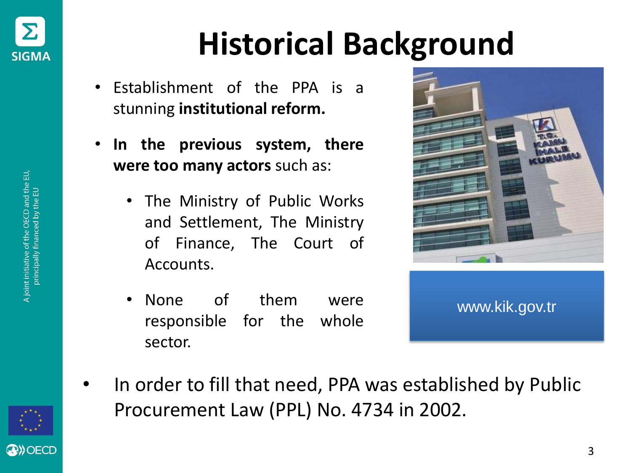

# **Historical Background**

- Establishment of the PPA is a stunning **institutional reform.**
- **In the previous system, there were too many actors** such as:
	- The Ministry of Public Works and Settlement, The Ministry of Finance, The Court of Accounts.
	- None of them were responsible for the whole sector.





• In order to fill that need, PPA was established by Public Procurement Law (PPL) No. 4734 in 2002.



**OBD**OECD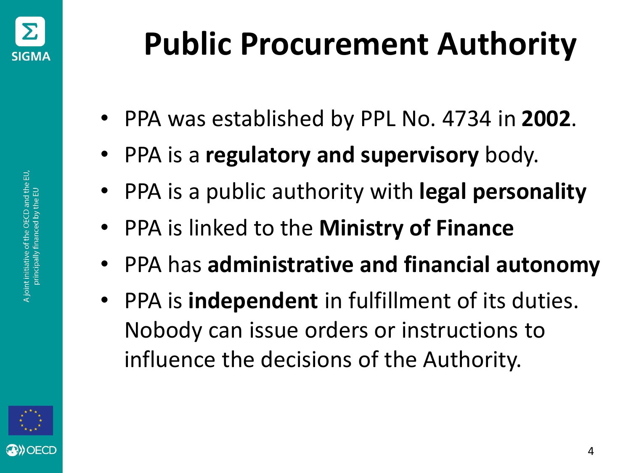

- PPA was established by PPL No. 4734 in **2002**.
- PPA is a **regulatory and supervisory** body.
- PPA is a public authority with **legal personality**
- PPA is linked to the **Ministry of Finance**
- PPA has **administrative and financial autonomy**
- PPA is **independent** in fulfillment of its duties. Nobody can issue orders or instructions to influence the decisions of the Authority.

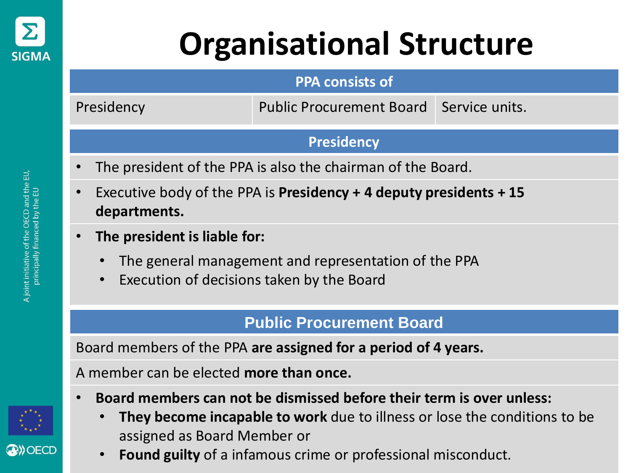

# **Organisational Structure**

#### **PPA consists of**

Presidency Public Procurement Board Service units.

#### **Presidency**

- The president of the PPA is also the chairman of the Board.
- Executive body of the PPA is **Presidency + 4 deputy presidents + 15 departments.**
- **The president is liable for:**
	- The general management and representation of the PPA
	- Execution of decisions taken by the Board

#### **Public Procurement Board**

Board members of the PPA **are assigned for a period of 4 years.** 

A member can be elected **more than once.** 

- **Board members can not be dismissed before their term is over unless:**
	- **They become incapable to work** due to illness or lose the conditions to be assigned as Board Member or
	- **Found guilty** of a infamous crime or professional misconduct.

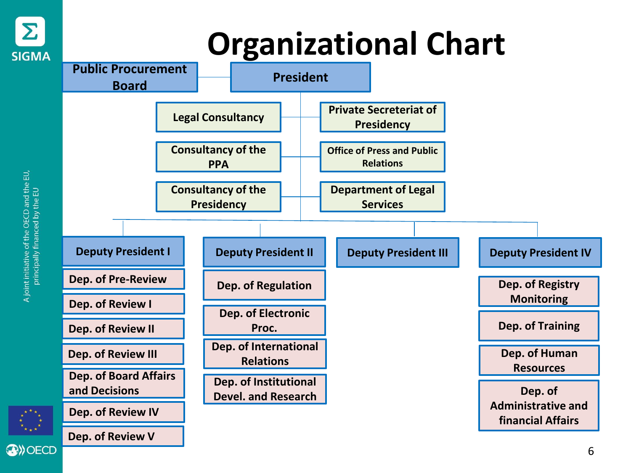

# **Organizational Chart**



A joint initiative of the OECD and the EU,<br>principally financed by the EU

**AD**) OECD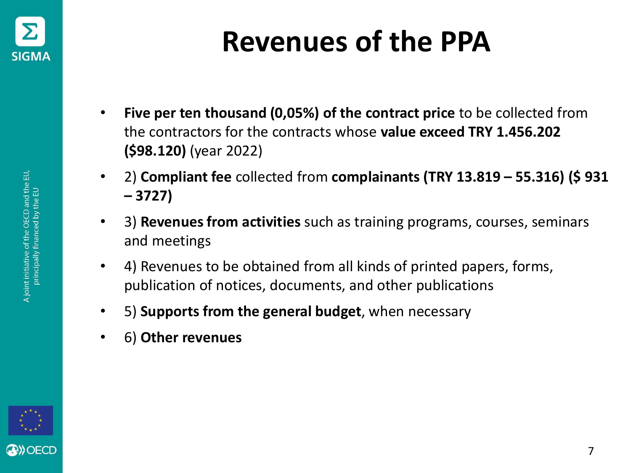

#### **Revenues of the PPA**

- **Five per ten thousand (0,05%) of the contract price** to be collected from the contractors for the contracts whose **value exceed TRY 1.456.202 (\$98.120)** (year 2022)
- 2) **Compliant fee** collected from **complainants (TRY 13.819 – 55.316) (\$ 931 – 3727)**
- 3) **Revenues from activities** such as training programs, courses, seminars and meetings
- 4) Revenues to be obtained from all kinds of printed papers, forms, publication of notices, documents, and other publications
- 5) **Supports from the general budget**, when necessary
- 6) **Other revenues**

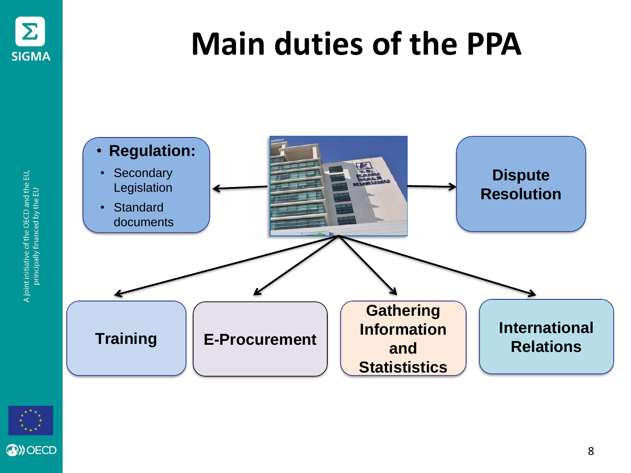

A joint initiative of the OECD and the EU,<br>principally financed by the EU

### **Main duties of the PPA**





8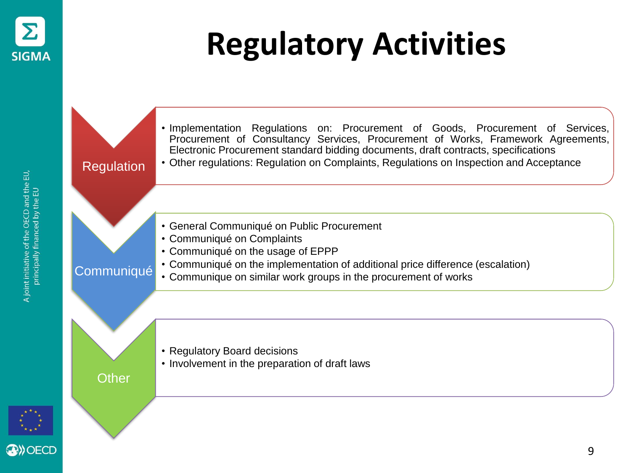

# **Regulatory Activities**

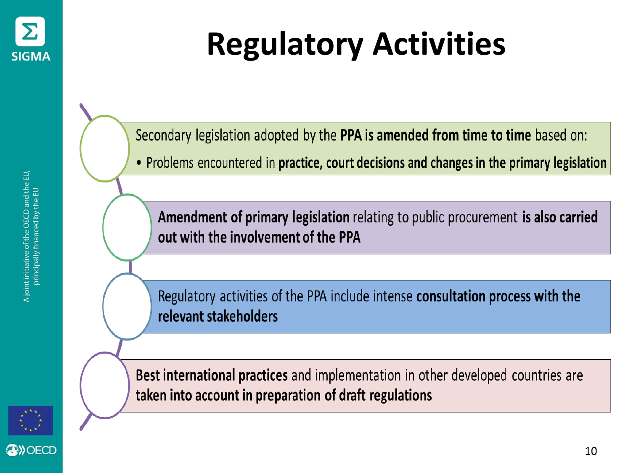

Secondary legislation adopted by the PPA is amended from time to time based on:

• Problems encountered in practice, court decisions and changes in the primary legislation

Amendment of primary legislation relating to public procurement is also carried out with the involvement of the PPA

Regulatory activities of the PPA include intense consultation process with the relevant stakeholders

OECD



**Best international practices** and implementation in other developed countries are taken into account in preparation of draft regulations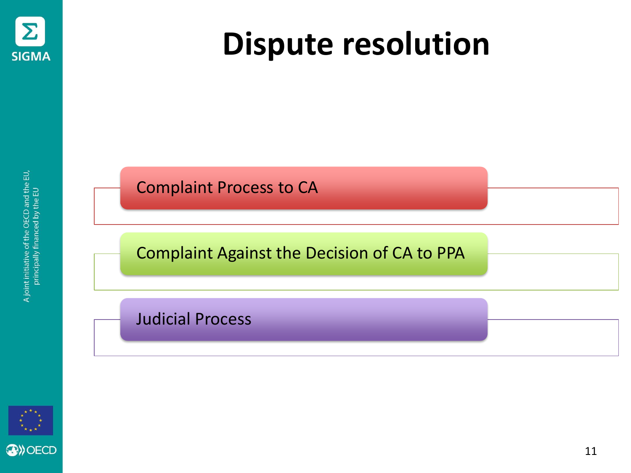

### **Dispute resolution**

Complaint Process to CA

Complaint Against the Decision of CA to PPA

Judicial Process

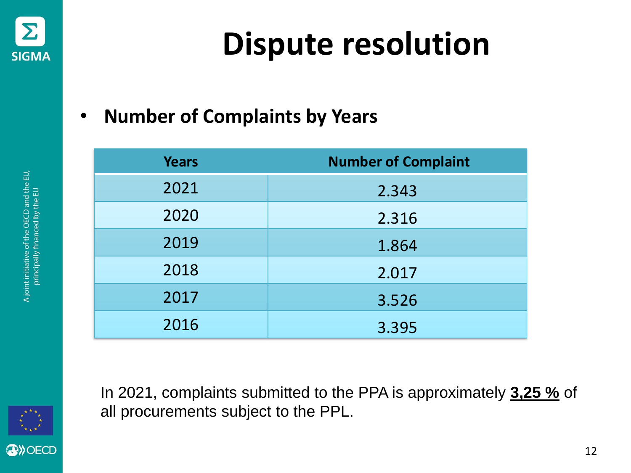

# **Dispute resolution**

#### • **Number of Complaints by Years**

| <b>Years</b> | <b>Number of Complaint</b> |
|--------------|----------------------------|
| 2021         | 2.343                      |
| 2020         | 2.316                      |
| 2019         | 1.864                      |
| 2018         | 2.017                      |
| 2017         | 3.526                      |
| 2016         | 3.395                      |

In 2021, complaints submitted to the PPA is approximately **3,25 %** of all procurements subject to the PPL.

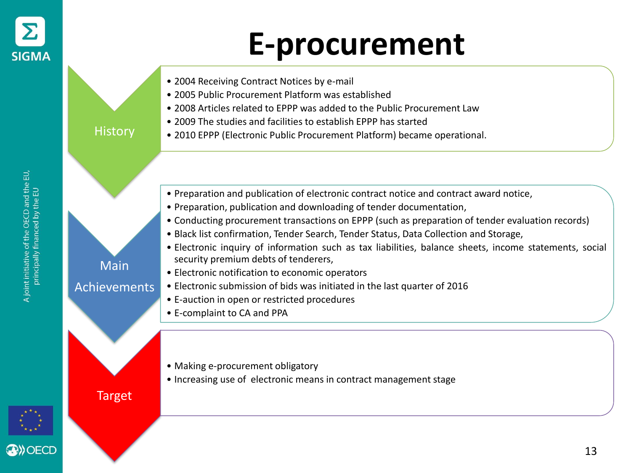

#### **E-procurement**



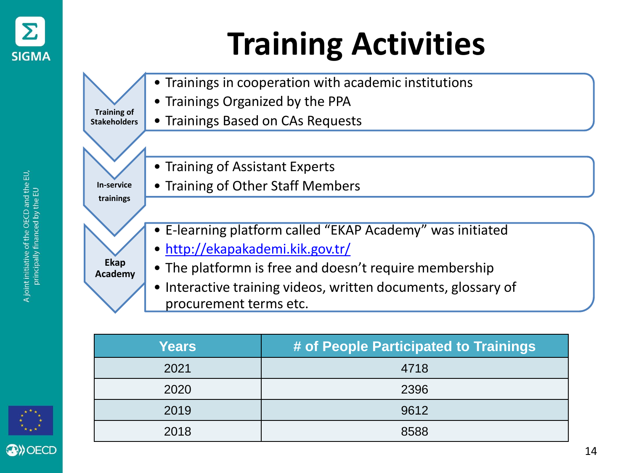

# **Training Activities**



| <b>Years</b> | # of People Participated to Trainings |
|--------------|---------------------------------------|
| 2021         | 4718                                  |
| 2020         | 2396                                  |
| 2019         | 9612                                  |
| 2018         | 8588                                  |

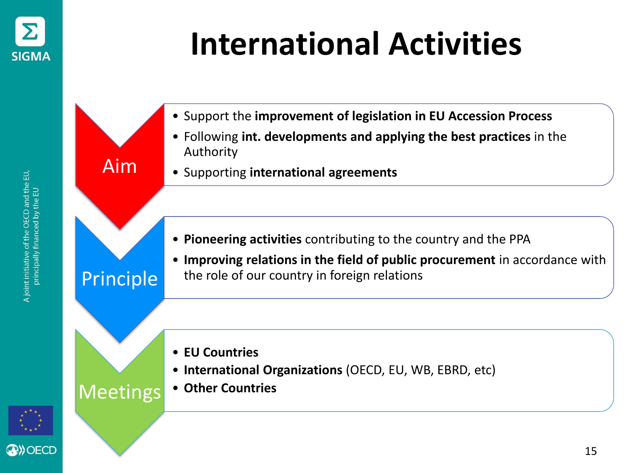

# **International Activities**



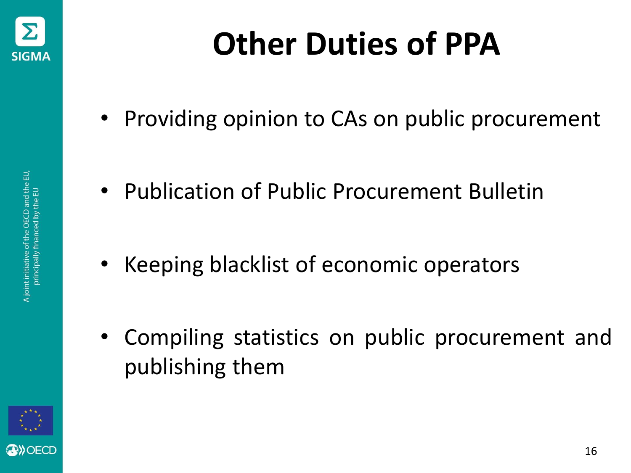

- Providing opinion to CAs on public procurement
- Publication of Public Procurement Bulletin
- Keeping blacklist of economic operators
- Compiling statistics on public procurement and publishing them